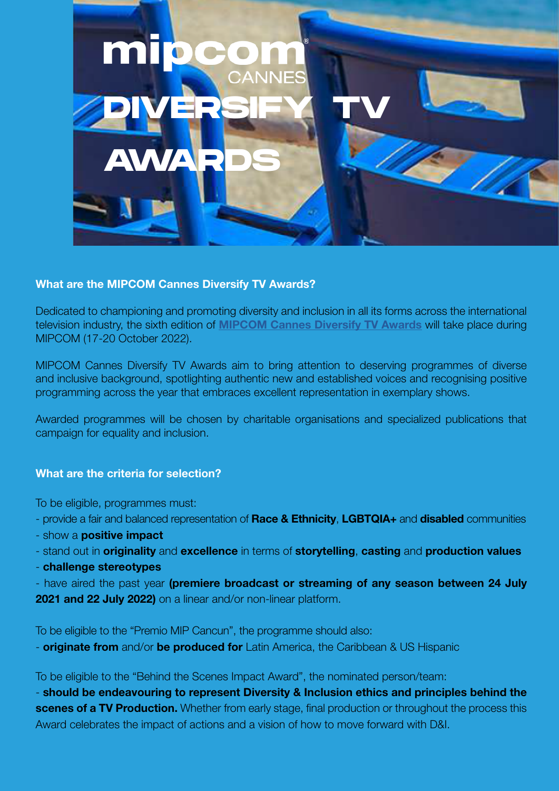

# What are the MIPCOM Cannes Diversify TV Awards?

Dedicated to championing and promoting diversity and inclusion in all its forms across the international television industry, the sixth edition of **[MIPCOM Cannes Diversify TV Awards](https://www.mipcom.com/en-gb/conferences-events/diversity-inclusion.html)** will take place during MIPCOM (17-20 October 2022).

MIPCOM Cannes Diversify TV Awards aim to bring attention to deserving programmes of diverse and inclusive background, spotlighting authentic new and established voices and recognising positive programming across the year that embraces excellent representation in exemplary shows.

Awarded programmes will be chosen by charitable organisations and specialized publications that campaign for equality and inclusion.

# What are the criteria for selection?

To be eligible, programmes must:

- provide a fair and balanced representation of Race & Ethnicity, LGBTQIA+ and disabled communities
- show a **positive impact**
- stand out in **originality** and **excellence** in terms of **storytelling, casting** and **production values**
- challenge stereotypes

- have aired the past year (premiere broadcast or streaming of any season between 24 July 2021 and 22 July 2022) on a linear and/or non-linear platform.

To be eligible to the "Premio MIP Cancun", the programme should also:

- **originate from** and/or **be produced for** Latin America, the Caribbean & US Hispanic

To be eligible to the "Behind the Scenes Impact Award", the nominated person/team:

- should be endeavouring to represent Diversity & Inclusion ethics and principles behind the scenes of a TV Production. Whether from early stage, final production or throughout the process this Award celebrates the impact of actions and a vision of how to move forward with D&I.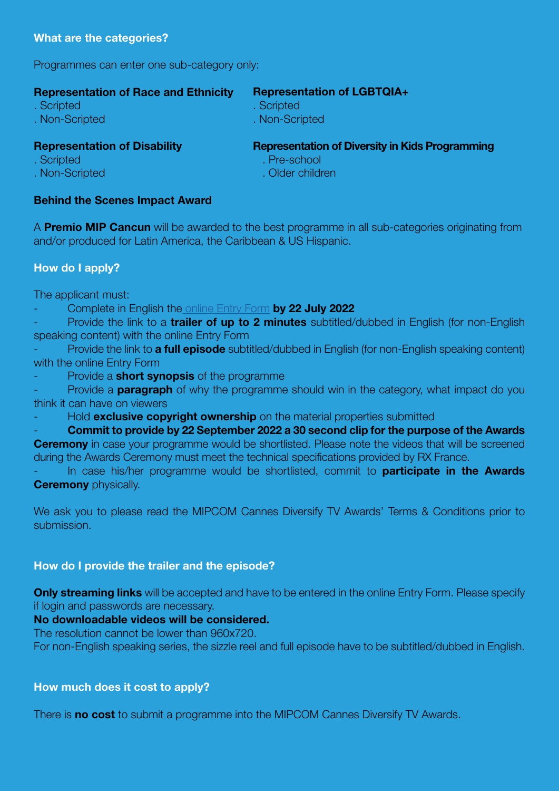Programmes can enter one sub-category only:

| <b>Representation of Race and Ethnicity</b> | <b>Representation of LGBTQIA+</b>                      |
|---------------------------------------------|--------------------------------------------------------|
| . Scripted                                  | . Scripted                                             |
| . Non-Scripted                              | . Non-Scripted                                         |
| <b>Representation of Disability</b>         | <b>Representation of Diversity in Kids Programming</b> |
| . Scripted                                  | . Pre-school                                           |

. Non-Scripted

. Older children

# Behind the Scenes Impact Award

A **Premio MIP Cancun** will be awarded to the best programme in all sub-categories originating from and/or produced for Latin America, the Caribbean & US Hispanic.

# How do I apply?

The applicant must:

Complete in English th[e online Entry Form](https://reedmidem.formstack.com/forms/mipcom_cannes_diversify_tv_awards_entry_form_2022) by 22 July 2022

Provide the link to a trailer of up to 2 minutes subtitled/dubbed in English (for non-English speaking content) with the online Entry Form

Provide the link to **a full episode** subtitled/dubbed in English (for non-English speaking content) with the online Entry Form

Provide a **short synopsis** of the programme

Provide a **paragraph** of why the programme should win in the category, what impact do you think it can have on viewers

Hold **exclusive copyright ownership** on the material properties submitted

- Commit to provide by 22 September 2022 a 30 second clip for the purpose of the Awards

**Ceremony** in case your programme would be shortlisted. Please note the videos that will be screened during the Awards Ceremony must meet the technical specifications provided by RX France.

In case his/her programme would be shortlisted, commit to **participate in the Awards Ceremony** physically.

We ask you to please read the MIPCOM Cannes Diversify TV Awards' Terms & Conditions prior to submission.

# How do I provide the trailer and the episode?

**Only streaming links** will be accepted and have to be entered in the online Entry Form. Please specify if login and passwords are necessary.

# No downloadable videos will be considered.

The resolution cannot be lower than 960x720.

For non-English speaking series, the sizzle reel and full episode have to be subtitled/dubbed in English.

# How much does it cost to apply?

There is **no cost** to submit a programme into the MIPCOM Cannes Diversify TV Awards.